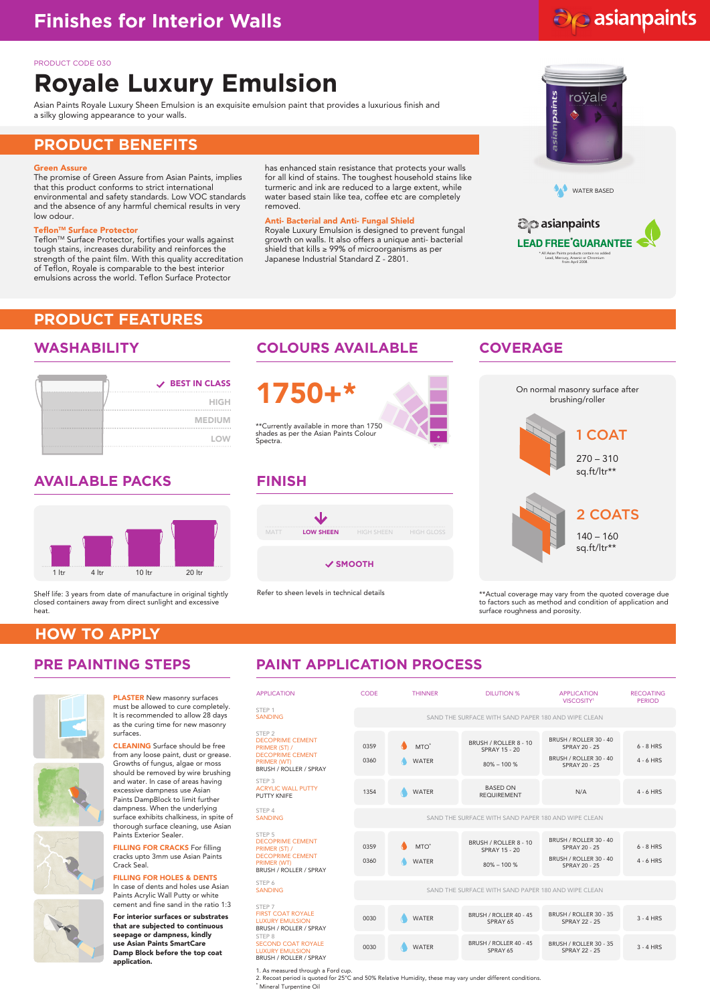# do asianpaints

### PRODUCT CODE 030

# **Royale Luxury Emulsion**

Asian Paints Royale Luxury Sheen Emulsion is an exquisite emulsion paint that provides a luxurious finish and a silky glowing appearance to your walls.

# **PRODUCT BENEFITS**

### Green Assure

The promise of Green Assure from Asian Paints, implies that this product conforms to strict international environmental and safety standards. Low VOC standards and the absence of any harmful chemical results in very low odour.

### Teflon™ Surface Protector

Teflon™ Surface Protector, fortifies your walls against tough stains, increases durability and reinforces the strength of the paint film. With this quality accreditation of Teflon, Royale is comparable to the best interior emulsions across the world. Teflon Surface Protector

has enhanced stain resistance that protects your walls for all kind of stains. The toughest household stains like turmeric and ink are reduced to a large extent, while water based stain like tea, coffee etc are completely removed.

### Anti- Bacterial and Anti- Fungal Shield

Royale Luxury Emulsion is designed to prevent fungal growth on walls. It also offers a unique anti- bacterial shield that kills ≥ 99% of microorganisms as per Japanese Industrial Standard Z - 2801.



### asianpaints **LEAD FREE GUARANTEE** \* All Asian Paints products contain no added Lead, Mercury, Arsenic or Chromium from April 2008.

### **PRODUCT FEATURES**

| V BEST IN CLASS |
|-----------------|
| <b>HIGH</b>     |
| <b>MEDIUM</b>   |
| <b>LOW</b>      |

### **AVAILABLE PACKS FINISH**



Shelf life: 3 years from date of manufacture in original tightly closed containers away from direct sunlight and excessive heat.

## **WASHABILITY COLOURS AVAILABLE COVERAGE**

1750+\* \*\*Currently available in more than 1750 shades as per the Asian Paints Colour

Spectra.



### **SMOOTH**

Refer to sheen levels in technical details



sq.ft/ltr\*\*

\*\*Actual coverage may vary from the quoted coverage due to factors such as method and condition of application and surface roughness and porosity.

## **HOW TO APPLY**



PLASTER New masonry surfaces must be allowed to cure completely. It is recommended to allow 28 days as the curing time for new masonry surfaces.

CLEANING Surface should be free from any loose paint, dust or grease. Growths of fungus, algae or moss should be removed by wire brushing and water. In case of areas having excessive dampness use Asian Paints DampBlock to limit further dampness. When the underlying surface exhibits chalkiness, in spite of thorough surface cleaning, use Asian Paints Exterior Sealer.

FILLING FOR CRACKS For filling cracks upto 3mm use Asian Paints Crack Seal.

FILLING FOR HOLES & DENTS In case of dents and holes use Asian Paints Acrylic Wall Putty or white cement and fine sand in the ratio 1:3

For interior surfaces or substrates that are subjected to continuous seepage or dampness, kindly use Asian Paints SmartCare Damp Block before the top coat application.

# **PRE PAINTING STEPS PAINT APPLICATION PROCESS**

| <b>APPLICATION</b>                                                                                                                       | CODE         | <b>THINNER</b>                                      | DILUTION %                                                      | <b>APPLICATION</b><br>VISCOSITY <sup>1</sup>                                              | <b>RECOATING</b><br><b>PERIOD</b> |  |  |  |
|------------------------------------------------------------------------------------------------------------------------------------------|--------------|-----------------------------------------------------|-----------------------------------------------------------------|-------------------------------------------------------------------------------------------|-----------------------------------|--|--|--|
| STEP <sub>1</sub><br><b>SANDING</b>                                                                                                      |              | SAND THE SURFACE WITH SAND PAPER 180 AND WIPE CLEAN |                                                                 |                                                                                           |                                   |  |  |  |
| STEP <sub>2</sub><br><b>DECOPRIME CEMENT</b><br>PRIMER (ST) /<br><b>DECOPRIME CEMENT</b><br>PRIMER (WT)<br>BRUSH / ROLLER / SPRAY        | 0359<br>0360 | $MTO^*$<br><b>WATER</b>                             | BRUSH / ROLLER 8 - 10<br><b>SPRAY 15 - 20</b><br>$80\% - 100\%$ | BRUSH / ROLLER 30 - 40<br>SPRAY 20 - 25<br>BRUSH / ROLLER 30 - 40<br><b>SPRAY 20 - 25</b> | $6 - 8$ HRS<br>$4 - 6$ HRS        |  |  |  |
| STEP <sub>3</sub><br><b>ACRYLIC WALL PUTTY</b><br>PUTTY KNIFF                                                                            | 1354         | <b>WATER</b>                                        | <b>BASED ON</b><br><b>REQUIREMENT</b>                           | N/A                                                                                       | $4 - 6$ HRS                       |  |  |  |
| STEP 4<br><b>SANDING</b>                                                                                                                 |              | SAND THE SURFACE WITH SAND PAPER 180 AND WIPE CLEAN |                                                                 |                                                                                           |                                   |  |  |  |
| STFP <sub>5</sub><br><b>DECOPRIME CEMENT</b><br>PRIMER (ST) /<br><b>DECOPRIME CEMENT</b><br><b>PRIMER (WT)</b><br>BRUSH / ROLLER / SPRAY | 0359<br>0360 | $MTO^*$<br><b>WATER</b>                             | BRUSH / ROLLER 8 - 10<br><b>SPRAY 15 - 20</b><br>$80\% - 100\%$ | BRUSH / ROLLER 30 - 40<br>SPRAY 20 - 25<br>BRUSH / ROLLER 30 - 40<br><b>SPRAY 20 - 25</b> | $6 - 8$ HRS<br>$4 - 6$ HRS        |  |  |  |
| STEP 6<br><b>SANDING</b>                                                                                                                 |              | SAND THE SURFACE WITH SAND PAPER 180 AND WIPE CLEAN |                                                                 |                                                                                           |                                   |  |  |  |
| STEP 7<br><b>FIRST COAT ROYALE</b><br><b>LUXURY EMULSION</b><br>BRUSH / ROLLER / SPRAY                                                   | 0030         | <b>WATER</b>                                        | BRUSH / ROLLER 40 - 45<br>SPRAY 65                              | BRUSH / ROLLER 30 - 35<br>SPRAY 22 - 25                                                   | $3 - 4$ HRS                       |  |  |  |
| STEP 8<br>SECOND COAT ROYALE<br><b>LUXURY EMULSION</b><br>BRUSH / ROLLER / SPRAY                                                         | 0030         | <b>WATER</b>                                        | BRUSH / ROLLER 40 - 45<br>SPRAY 65                              | BRUSH / ROLLER 30 - 35<br>SPRAY 22 - 25                                                   | $3 - 4$ HRS                       |  |  |  |

1. As measured through a Ford cup. 2. Recoat period is quoted for 25°C and 50% Relative Humidity, these may vary under different conditions. \* Mineral Turpentine Oil